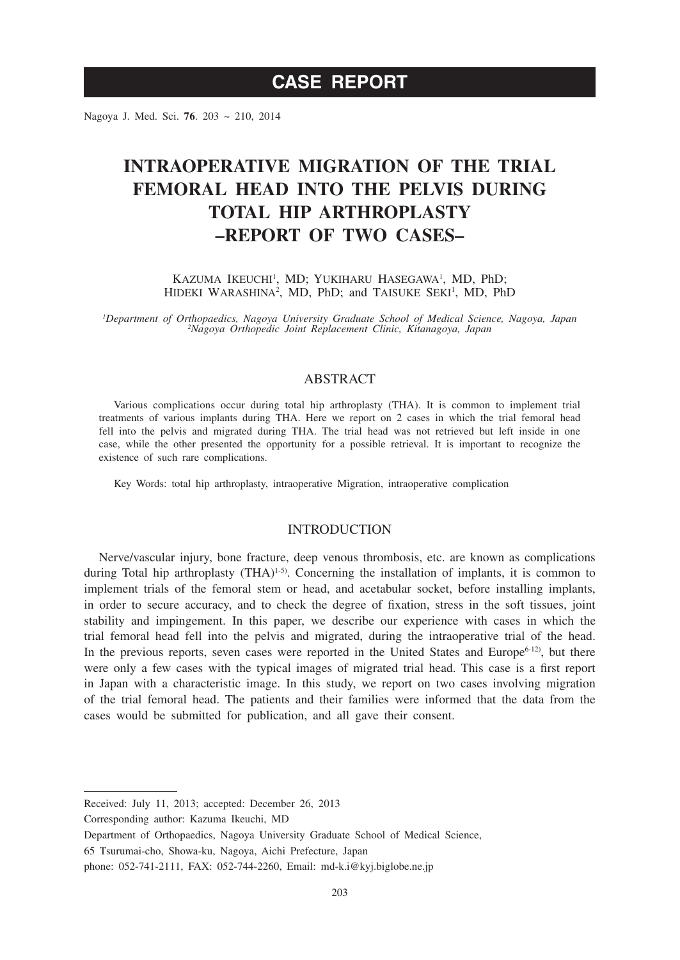Nagoya J. Med. Sci. **76**. 203 ~ 210, 2014

# **INTRAOPERATIVE MIGRATION OF THE TRIAL FEMORAL HEAD INTO THE PELVIS DURING TOTAL HIP ARTHROPLASTY –REPORT OF TWO CASES–**

KAZUMA IKEUCHI<sup>1</sup>, MD; YUKIHARU HASEGAWA<sup>1</sup>, MD, PhD; HIDEKI WARASHINA<sup>2</sup>, MD, PhD; and TAISUKE SEKI<sup>1</sup>, MD, PhD

*1 Department of Orthopaedics, Nagoya University Graduate School of Medical Science, Nagoya, Japan <sup>2</sup> Nagoya Orthopedic Joint Replacement Clinic, Kitanagoya, Japan*

## ABSTRACT

Various complications occur during total hip arthroplasty (THA). It is common to implement trial treatments of various implants during THA. Here we report on 2 cases in which the trial femoral head fell into the pelvis and migrated during THA. The trial head was not retrieved but left inside in one case, while the other presented the opportunity for a possible retrieval. It is important to recognize the existence of such rare complications.

Key Words: total hip arthroplasty, intraoperative Migration, intraoperative complication

### INTRODUCTION

Nerve/vascular injury, bone fracture, deep venous thrombosis, etc. are known as complications during Total hip arthroplasty  $(THA)^{1-5}$ . Concerning the installation of implants, it is common to implement trials of the femoral stem or head, and acetabular socket, before installing implants, in order to secure accuracy, and to check the degree of fixation, stress in the soft tissues, joint stability and impingement. In this paper, we describe our experience with cases in which the trial femoral head fell into the pelvis and migrated, during the intraoperative trial of the head. In the previous reports, seven cases were reported in the United States and Europe $6-12$ , but there were only a few cases with the typical images of migrated trial head. This case is a first report in Japan with a characteristic image. In this study, we report on two cases involving migration of the trial femoral head. The patients and their families were informed that the data from the cases would be submitted for publication, and all gave their consent.

Received: July 11, 2013; accepted: December 26, 2013

Corresponding author: Kazuma Ikeuchi, MD

65 Tsurumai-cho, Showa-ku, Nagoya, Aichi Prefecture, Japan

Department of Orthopaedics, Nagoya University Graduate School of Medical Science,

phone: 052-741-2111, FAX: 052-744-2260, Email: md-k.i@kyj.biglobe.ne.jp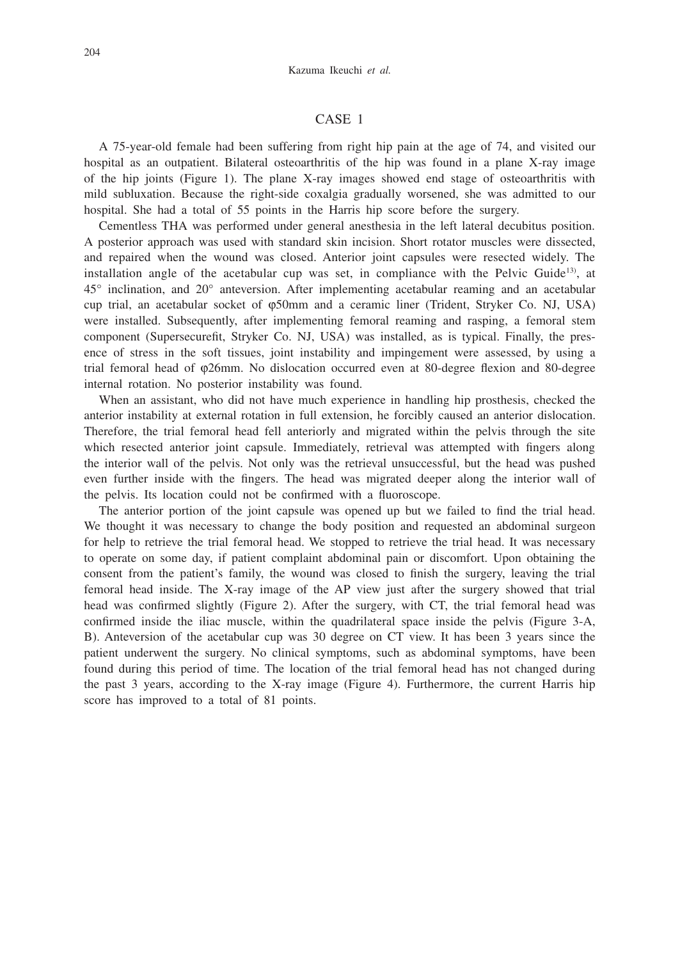#### CASE 1

A 75-year-old female had been suffering from right hip pain at the age of 74, and visited our hospital as an outpatient. Bilateral osteoarthritis of the hip was found in a plane X-ray image of the hip joints (Figure 1). The plane X-ray images showed end stage of osteoarthritis with mild subluxation. Because the right-side coxalgia gradually worsened, she was admitted to our hospital. She had a total of 55 points in the Harris hip score before the surgery.

Cementless THA was performed under general anesthesia in the left lateral decubitus position. A posterior approach was used with standard skin incision. Short rotator muscles were dissected, and repaired when the wound was closed. Anterior joint capsules were resected widely. The installation angle of the acetabular cup was set, in compliance with the Pelvic Guide<sup>13)</sup>, at 45° inclination, and 20° anteversion. After implementing acetabular reaming and an acetabular cup trial, an acetabular socket of φ50mm and a ceramic liner (Trident, Stryker Co. NJ, USA) were installed. Subsequently, after implementing femoral reaming and rasping, a femoral stem component (Supersecurefit, Stryker Co. NJ, USA) was installed, as is typical. Finally, the presence of stress in the soft tissues, joint instability and impingement were assessed, by using a trial femoral head of φ26mm. No dislocation occurred even at 80-degree flexion and 80-degree internal rotation. No posterior instability was found.

When an assistant, who did not have much experience in handling hip prosthesis, checked the anterior instability at external rotation in full extension, he forcibly caused an anterior dislocation. Therefore, the trial femoral head fell anteriorly and migrated within the pelvis through the site which resected anterior joint capsule. Immediately, retrieval was attempted with fingers along the interior wall of the pelvis. Not only was the retrieval unsuccessful, but the head was pushed even further inside with the fingers. The head was migrated deeper along the interior wall of the pelvis. Its location could not be confirmed with a fluoroscope.

The anterior portion of the joint capsule was opened up but we failed to find the trial head. We thought it was necessary to change the body position and requested an abdominal surgeon for help to retrieve the trial femoral head. We stopped to retrieve the trial head. It was necessary to operate on some day, if patient complaint abdominal pain or discomfort. Upon obtaining the consent from the patient's family, the wound was closed to finish the surgery, leaving the trial femoral head inside. The X-ray image of the AP view just after the surgery showed that trial head was confirmed slightly (Figure 2). After the surgery, with CT, the trial femoral head was confirmed inside the iliac muscle, within the quadrilateral space inside the pelvis (Figure 3-A, B). Anteversion of the acetabular cup was 30 degree on CT view. It has been 3 years since the patient underwent the surgery. No clinical symptoms, such as abdominal symptoms, have been found during this period of time. The location of the trial femoral head has not changed during the past 3 years, according to the X-ray image (Figure 4). Furthermore, the current Harris hip score has improved to a total of 81 points.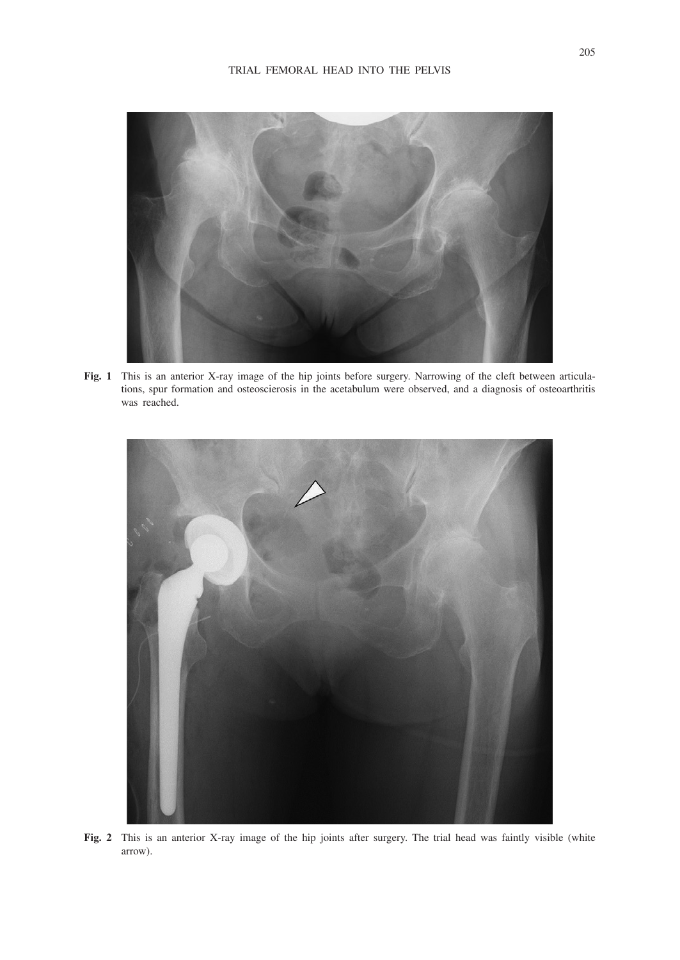

**Fig. 1** This is an anterior X-ray image of the hip joints before surgery. Narrowing of the cleft between articulations, spur formation and osteoscierosis in the acetabulum were observed, and a diagnosis of osteoarthritis was reached.



**Fig. 2** This is an anterior X-ray image of the hip joints after surgery. The trial head was faintly visible (white arrow).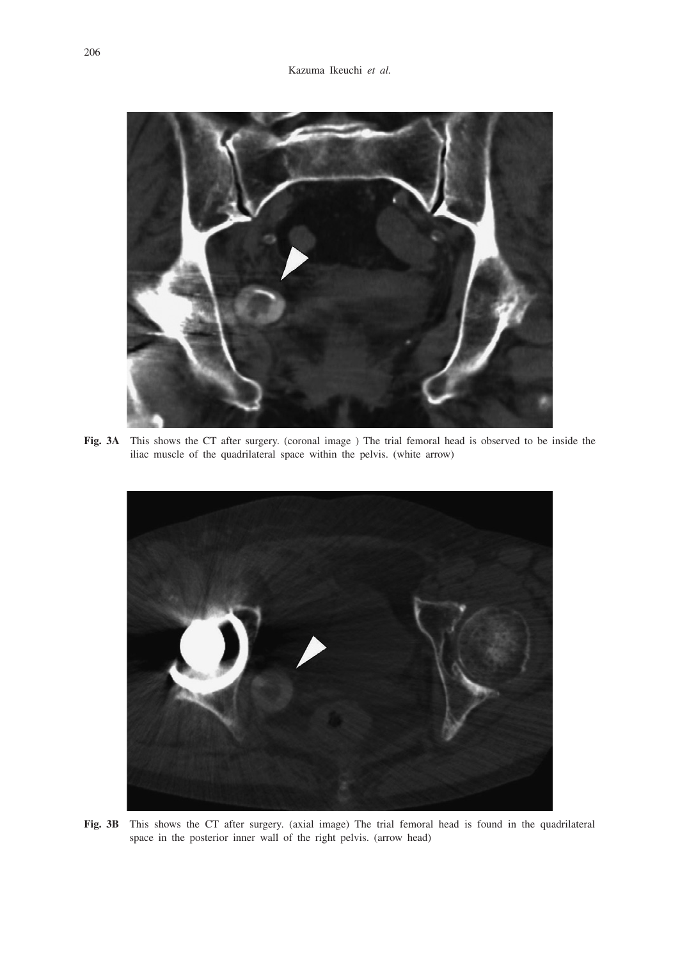

**Fig. 3A** This shows the CT after surgery. (coronal image ) The trial femoral head is observed to be inside the iliac muscle of the quadrilateral space within the pelvis. (white arrow)



**Fig. 3B** This shows the CT after surgery. (axial image) The trial femoral head is found in the quadrilateral space in the posterior inner wall of the right pelvis. (arrow head)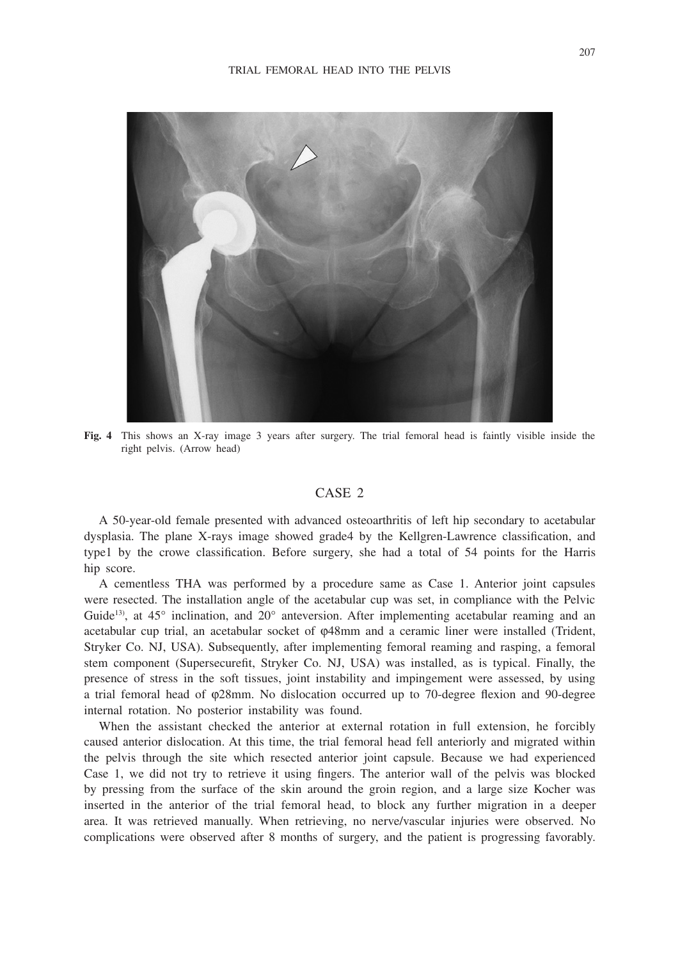

**Fig. 4** This shows an X-ray image 3 years after surgery. The trial femoral head is faintly visible inside the right pelvis. (Arrow head)

#### CASE 2

A 50-year-old female presented with advanced osteoarthritis of left hip secondary to acetabular dysplasia. The plane X-rays image showed grade4 by the Kellgren-Lawrence classification, and type1 by the crowe classification. Before surgery, she had a total of 54 points for the Harris hip score.

A cementless THA was performed by a procedure same as Case 1. Anterior joint capsules were resected. The installation angle of the acetabular cup was set, in compliance with the Pelvic Guide<sup>13</sup>), at  $45^{\circ}$  inclination, and  $20^{\circ}$  anteversion. After implementing acetabular reaming and an acetabular cup trial, an acetabular socket of φ48mm and a ceramic liner were installed (Trident, Stryker Co. NJ, USA). Subsequently, after implementing femoral reaming and rasping, a femoral stem component (Supersecurefit, Stryker Co. NJ, USA) was installed, as is typical. Finally, the presence of stress in the soft tissues, joint instability and impingement were assessed, by using a trial femoral head of φ28mm. No dislocation occurred up to 70-degree flexion and 90-degree internal rotation. No posterior instability was found.

When the assistant checked the anterior at external rotation in full extension, he forcibly caused anterior dislocation. At this time, the trial femoral head fell anteriorly and migrated within the pelvis through the site which resected anterior joint capsule. Because we had experienced Case 1, we did not try to retrieve it using fingers. The anterior wall of the pelvis was blocked by pressing from the surface of the skin around the groin region, and a large size Kocher was inserted in the anterior of the trial femoral head, to block any further migration in a deeper area. It was retrieved manually. When retrieving, no nerve/vascular injuries were observed. No complications were observed after 8 months of surgery, and the patient is progressing favorably.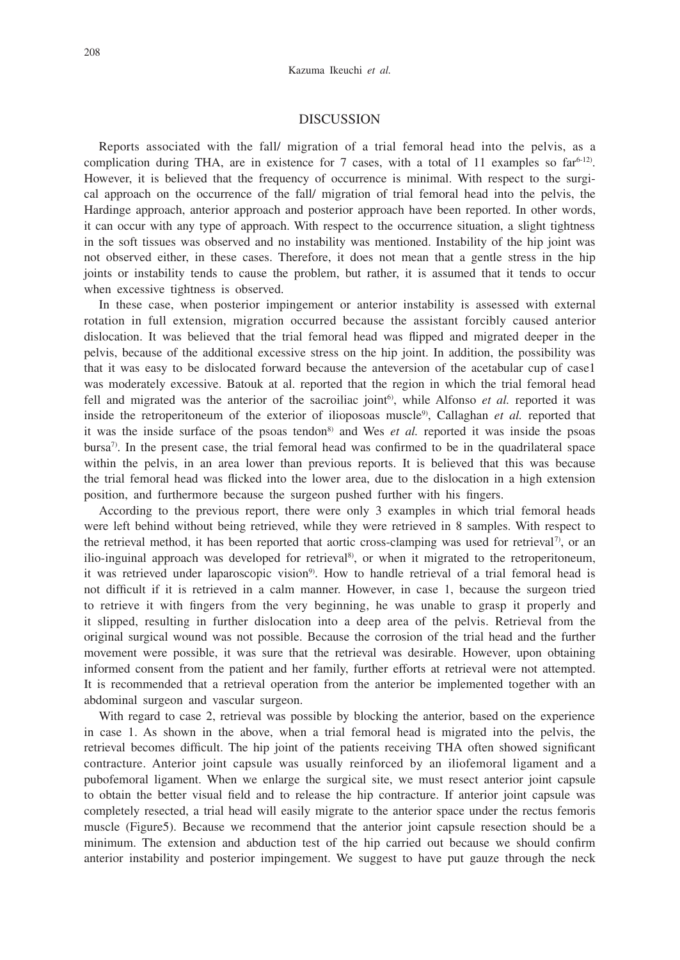#### DISCUSSION

Reports associated with the fall/ migration of a trial femoral head into the pelvis, as a complication during THA, are in existence for 7 cases, with a total of 11 examples so  $far^{6-12}$ . However, it is believed that the frequency of occurrence is minimal. With respect to the surgical approach on the occurrence of the fall/ migration of trial femoral head into the pelvis, the Hardinge approach, anterior approach and posterior approach have been reported. In other words, it can occur with any type of approach. With respect to the occurrence situation, a slight tightness in the soft tissues was observed and no instability was mentioned. Instability of the hip joint was not observed either, in these cases. Therefore, it does not mean that a gentle stress in the hip joints or instability tends to cause the problem, but rather, it is assumed that it tends to occur when excessive tightness is observed.

In these case, when posterior impingement or anterior instability is assessed with external rotation in full extension, migration occurred because the assistant forcibly caused anterior dislocation. It was believed that the trial femoral head was flipped and migrated deeper in the pelvis, because of the additional excessive stress on the hip joint. In addition, the possibility was that it was easy to be dislocated forward because the anteversion of the acetabular cup of case1 was moderately excessive. Batouk at al. reported that the region in which the trial femoral head fell and migrated was the anterior of the sacroiliac joint<sup>6</sup>, while Alfonso *et al.* reported it was inside the retroperitoneum of the exterior of ilioposoas muscle<sup>9</sup>), Callaghan *et al.* reported that it was the inside surface of the psoas tendon<sup>8)</sup> and Wes *et al.* reported it was inside the psoas bursa $\eta$ . In the present case, the trial femoral head was confirmed to be in the quadrilateral space within the pelvis, in an area lower than previous reports. It is believed that this was because the trial femoral head was flicked into the lower area, due to the dislocation in a high extension position, and furthermore because the surgeon pushed further with his fingers.

According to the previous report, there were only 3 examples in which trial femoral heads were left behind without being retrieved, while they were retrieved in 8 samples. With respect to the retrieval method, it has been reported that aortic cross-clamping was used for retrieval<sup>7)</sup>, or an ilio-inguinal approach was developed for retrieval<sup>8</sup>, or when it migrated to the retroperitoneum, it was retrieved under laparoscopic vision<sup>9</sup>. How to handle retrieval of a trial femoral head is not difficult if it is retrieved in a calm manner. However, in case 1, because the surgeon tried to retrieve it with fingers from the very beginning, he was unable to grasp it properly and it slipped, resulting in further dislocation into a deep area of the pelvis. Retrieval from the original surgical wound was not possible. Because the corrosion of the trial head and the further movement were possible, it was sure that the retrieval was desirable. However, upon obtaining informed consent from the patient and her family, further efforts at retrieval were not attempted. It is recommended that a retrieval operation from the anterior be implemented together with an abdominal surgeon and vascular surgeon.

With regard to case 2, retrieval was possible by blocking the anterior, based on the experience in case 1. As shown in the above, when a trial femoral head is migrated into the pelvis, the retrieval becomes difficult. The hip joint of the patients receiving THA often showed significant contracture. Anterior joint capsule was usually reinforced by an iliofemoral ligament and a pubofemoral ligament. When we enlarge the surgical site, we must resect anterior joint capsule to obtain the better visual field and to release the hip contracture. If anterior joint capsule was completely resected, a trial head will easily migrate to the anterior space under the rectus femoris muscle (Figure5). Because we recommend that the anterior joint capsule resection should be a minimum. The extension and abduction test of the hip carried out because we should confirm anterior instability and posterior impingement. We suggest to have put gauze through the neck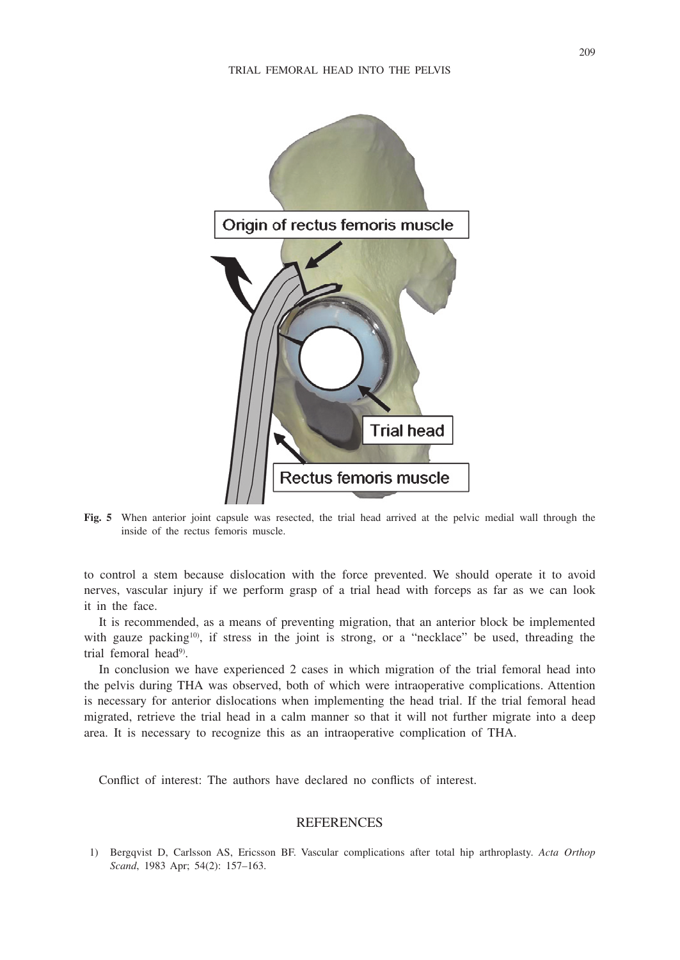

**Fig. 5** When anterior joint capsule was resected, the trial head arrived at the pelvic medial wall through the inside of the rectus femoris muscle.

to control a stem because dislocation with the force prevented. We should operate it to avoid nerves, vascular injury if we perform grasp of a trial head with forceps as far as we can look it in the face.

It is recommended, as a means of preventing migration, that an anterior block be implemented with gauze packing<sup>10</sup>), if stress in the joint is strong, or a "necklace" be used, threading the trial femoral head<sup>9)</sup>.

In conclusion we have experienced 2 cases in which migration of the trial femoral head into the pelvis during THA was observed, both of which were intraoperative complications. Attention is necessary for anterior dislocations when implementing the head trial. If the trial femoral head migrated, retrieve the trial head in a calm manner so that it will not further migrate into a deep area. It is necessary to recognize this as an intraoperative complication of THA.

Conflict of interest: The authors have declared no conflicts of interest.

#### **REFERENCES**

1) Bergqvist D, Carlsson AS, Ericsson BF. Vascular complications after total hip arthroplasty. *Acta Orthop Scand*, 1983 Apr; 54(2): 157–163.